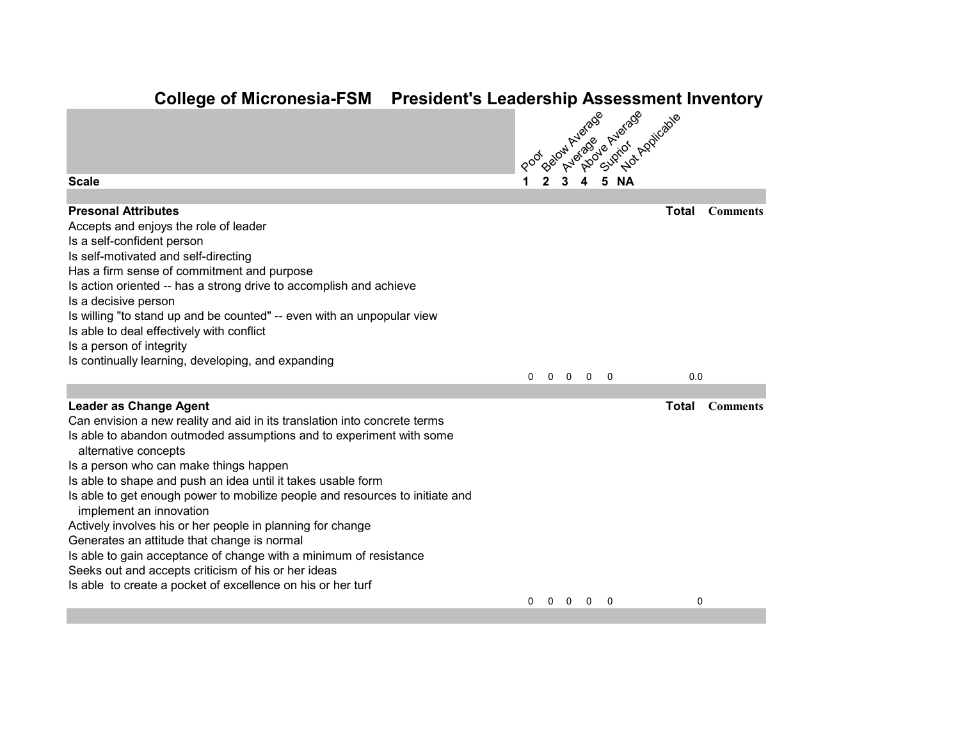## **College of Micronesia-FSM President's Leadership Assessment Inventory**

|                                                                                                                                                                                                                                                                                                                                                                                                                                                                                                                                                                                                                                                                                                                                        |              |             |                   | Below Average           | A 5 N' Andrew Applicable |              |                 |
|----------------------------------------------------------------------------------------------------------------------------------------------------------------------------------------------------------------------------------------------------------------------------------------------------------------------------------------------------------------------------------------------------------------------------------------------------------------------------------------------------------------------------------------------------------------------------------------------------------------------------------------------------------------------------------------------------------------------------------------|--------------|-------------|-------------------|-------------------------|--------------------------|--------------|-----------------|
| <b>Scale</b>                                                                                                                                                                                                                                                                                                                                                                                                                                                                                                                                                                                                                                                                                                                           | Poor         |             |                   |                         |                          |              |                 |
| <b>Presonal Attributes</b><br>Accepts and enjoys the role of leader<br>Is a self-confident person<br>Is self-motivated and self-directing<br>Has a firm sense of commitment and purpose<br>Is action oriented -- has a strong drive to accomplish and achieve<br>Is a decisive person<br>Is willing "to stand up and be counted" -- even with an unpopular view<br>Is able to deal effectively with conflict<br>Is a person of integrity<br>Is continually learning, developing, and expanding                                                                                                                                                                                                                                         |              |             |                   |                         |                          | <b>Total</b> | <b>Comments</b> |
|                                                                                                                                                                                                                                                                                                                                                                                                                                                                                                                                                                                                                                                                                                                                        | $\mathbf{0}$ | $\mathbf 0$ | $\overline{0}$    | $\overline{\mathbf{0}}$ | 0                        | 0.0          |                 |
| <b>Leader as Change Agent</b><br>Can envision a new reality and aid in its translation into concrete terms<br>Is able to abandon outmoded assumptions and to experiment with some<br>alternative concepts<br>Is a person who can make things happen<br>Is able to shape and push an idea until it takes usable form<br>Is able to get enough power to mobilize people and resources to initiate and<br>implement an innovation<br>Actively involves his or her people in planning for change<br>Generates an attitude that change is normal<br>Is able to gain acceptance of change with a minimum of resistance<br>Seeks out and accepts criticism of his or her ideas<br>Is able to create a pocket of excellence on his or her turf |              |             |                   |                         |                          | Total        | <b>Comments</b> |
|                                                                                                                                                                                                                                                                                                                                                                                                                                                                                                                                                                                                                                                                                                                                        | 0            |             | $0\quad 0\quad 0$ |                         | 0                        | 0            |                 |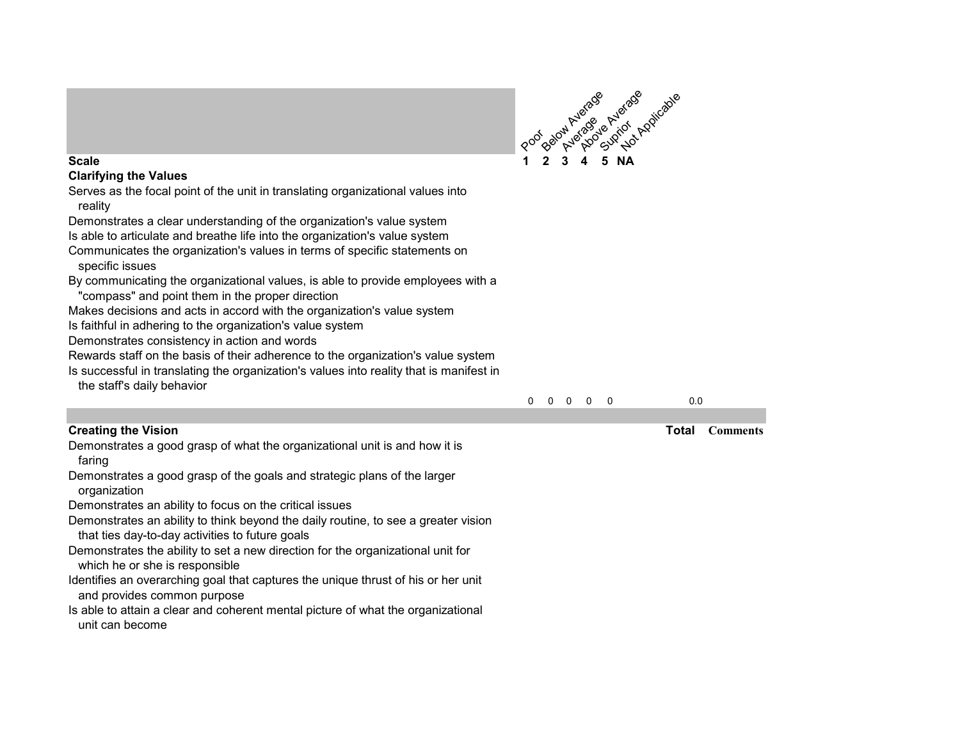

0 0 0 0 0 0.0

# **Clarifying the Values**

Serves as the focal point of the unit in translating organizational values into reality

Demonstrates a clear understanding of the organization's value system

Is able to articulate and breathe life into the organization's value system

Communicates the organization's values in terms of specific statements on specific issues

By communicating the organizational values, is able to provide employees with a "compass" and point them in the proper direction

Makes decisions and acts in accord with the organization's value system

Is faithful in adhering to the organization's value system

Demonstrates consistency in action and words

Rewards staff on the basis of their adherence to the organization's value system

Is successful in translating the organization's values into reality that is manifest in the staff's daily behavior

| <b>Creating the Vision</b> |  |  |
|----------------------------|--|--|
|----------------------------|--|--|

Demonstrates a good grasp of what the organizational unit is and how it is faring

Demonstrates a good grasp of the goals and strategic plans of the larger organization

Demonstrates an ability to focus on the critical issues

Demonstrates an ability to think beyond the daily routine, to see a greater vision that ties day-to-day activities to future goals

Demonstrates the ability to set a new direction for the organizational unit for which he or she is responsible

Identifies an overarching goal that captures the unique thrust of his or her unit and provides common purpose

Is able to attain a clear and coherent mental picture of what the organizational unit can become

**Creating the Vision Total Comments**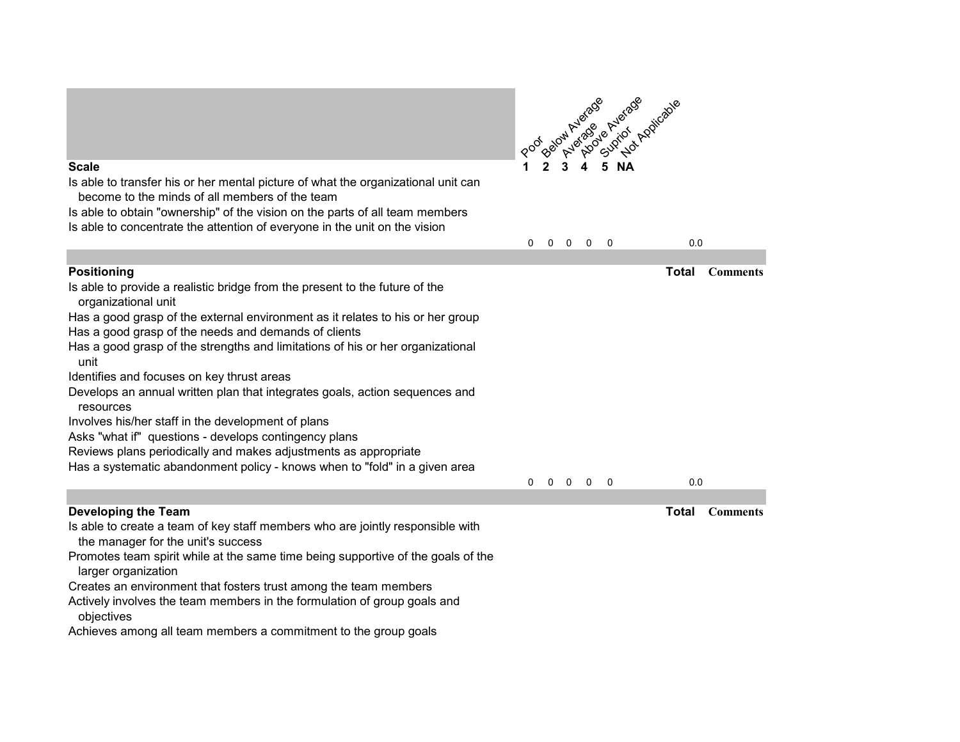

- Creates an environment that fosters trust among the team members
- Actively involves the team members in the formulation of group goals and objectives

Achieves among all team members a commitment to the group goals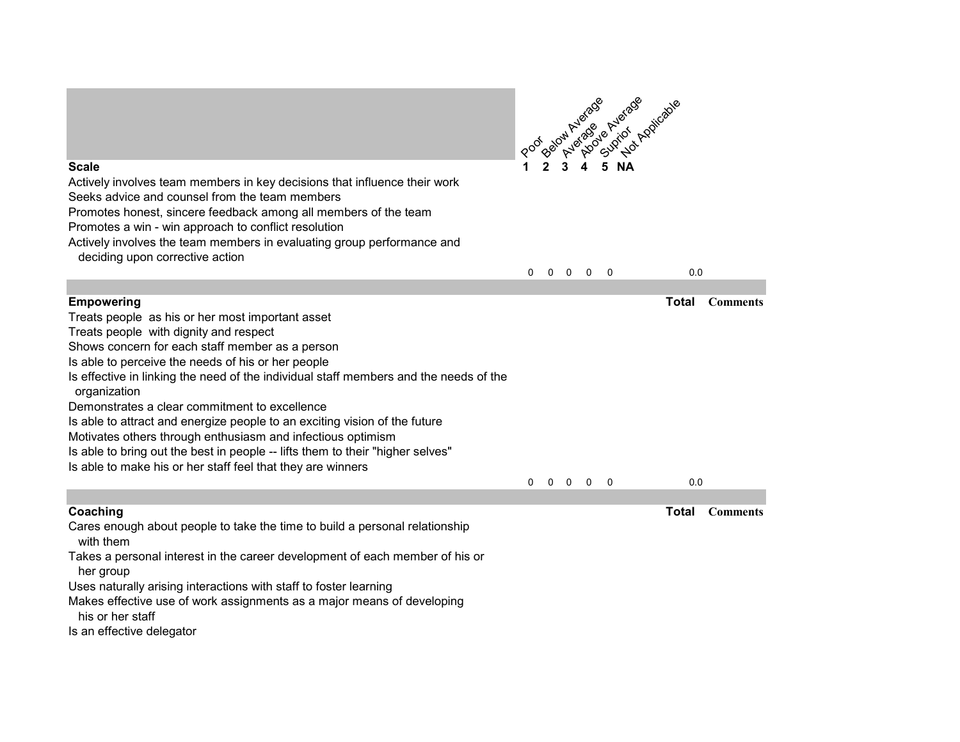

Actively involves team members in key decisions that influence their work

Seeks advice and counsel from the team members

Promotes honest, sincere feedback among all members of the team

Promotes a win - win approach to conflict resolution

Actively involves the team members in evaluating group performance and

deciding upon corrective action

0 0 0 0 0 0.0

| <b>Empowering</b>                                                                                     |              |  |                                             | Total | <b>Comments</b> |
|-------------------------------------------------------------------------------------------------------|--------------|--|---------------------------------------------|-------|-----------------|
| Treats people as his or her most important asset                                                      |              |  |                                             |       |                 |
| Treats people with dignity and respect                                                                |              |  |                                             |       |                 |
| Shows concern for each staff member as a person                                                       |              |  |                                             |       |                 |
| Is able to perceive the needs of his or her people                                                    |              |  |                                             |       |                 |
| Is effective in linking the need of the individual staff members and the needs of the<br>organization |              |  |                                             |       |                 |
| Demonstrates a clear commitment to excellence                                                         |              |  |                                             |       |                 |
| Is able to attract and energize people to an exciting vision of the future                            |              |  |                                             |       |                 |
| Motivates others through enthusiasm and infectious optimism                                           |              |  |                                             |       |                 |
| Is able to bring out the best in people -- lifts them to their "higher selves"                        |              |  |                                             |       |                 |
| Is able to make his or her staff feel that they are winners                                           |              |  |                                             |       |                 |
|                                                                                                       | $\mathbf{0}$ |  | $\begin{matrix} 0 & 0 & 0 & 0 \end{matrix}$ |       | 0.0             |
|                                                                                                       |              |  |                                             |       |                 |
| Coaching                                                                                              |              |  |                                             | Total | <b>Comments</b> |
| Cares enough about people to take the time to build a personal relationship<br>with them              |              |  |                                             |       |                 |
| Takes a personal interest in the career development of each member of his or                          |              |  |                                             |       |                 |

her group

Uses naturally arising interactions with staff to foster learning

Makes effective use of work assignments as a major means of developing his or her staff

Is an effective delegator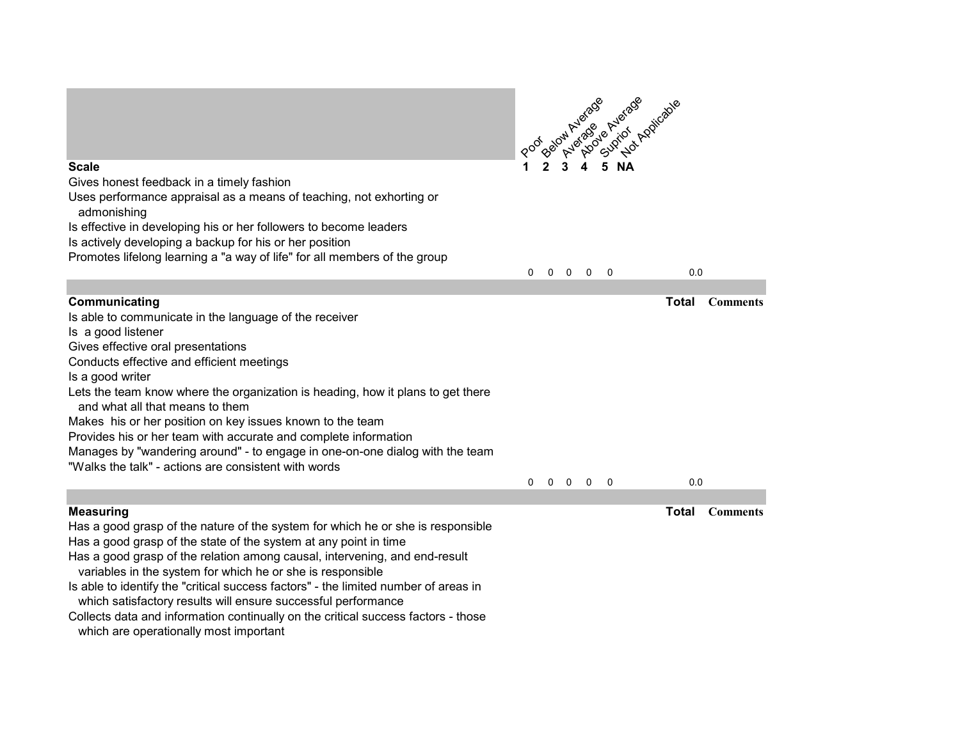

Provides his or her team with accurate and complete information

Manages by "wandering around" - to engage in one-on-one dialog with the team

"Walks the talk" - actions are consistent with words

**Measuring Total Comments**

0 0 0 0 0 0.0

- Has a good grasp of the nature of the system for which he or she is responsible Has a good grasp of the state of the system at any point in time
- Has a good grasp of the relation among causal, intervening, and end-result
- variables in the system for which he or she is responsible
- Is able to identify the "critical success factors" the limited number of areas in
- which satisfactory results will ensure successful performance
- Collects data and information continually on the critical success factors those
- which are operationally most important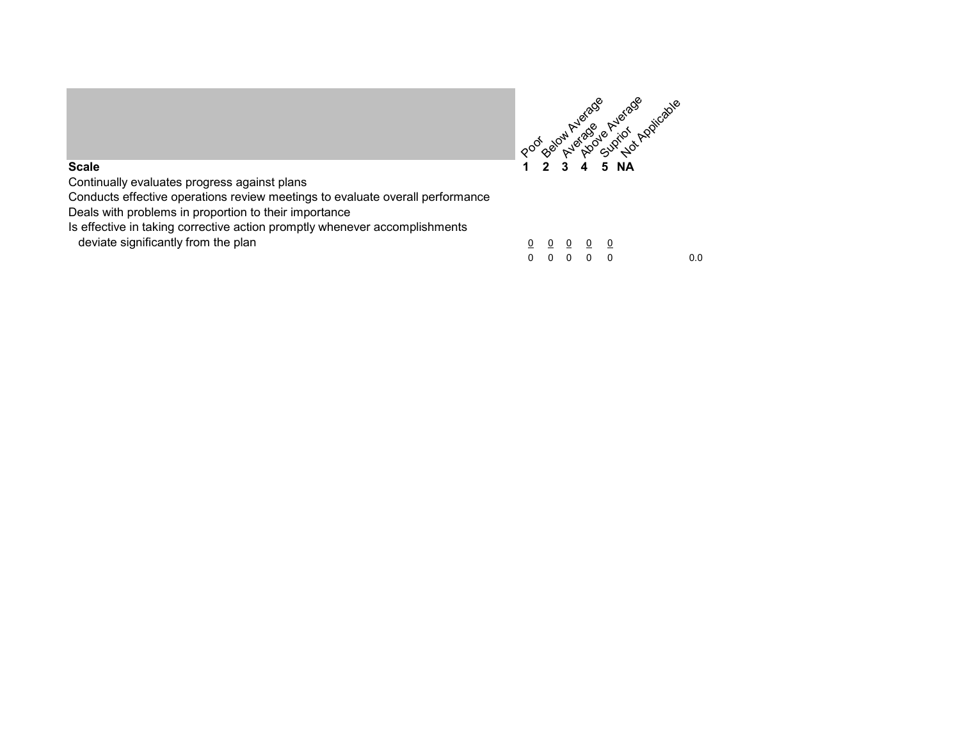

Continually evaluates progress against plans

Conducts effective operations review meetings to evaluate overall performance

Deals with problems in proportion to their importance

Is effective in taking corrective action promptly whenever accomplishments

deviate significantly from the plan

|  | <u>000000</u>                                                        |     |
|--|----------------------------------------------------------------------|-----|
|  | $\begin{array}{ccccccccccccccccc} 0 & 0 & 0 & 0 & 0 & 0 \end{array}$ | 0.0 |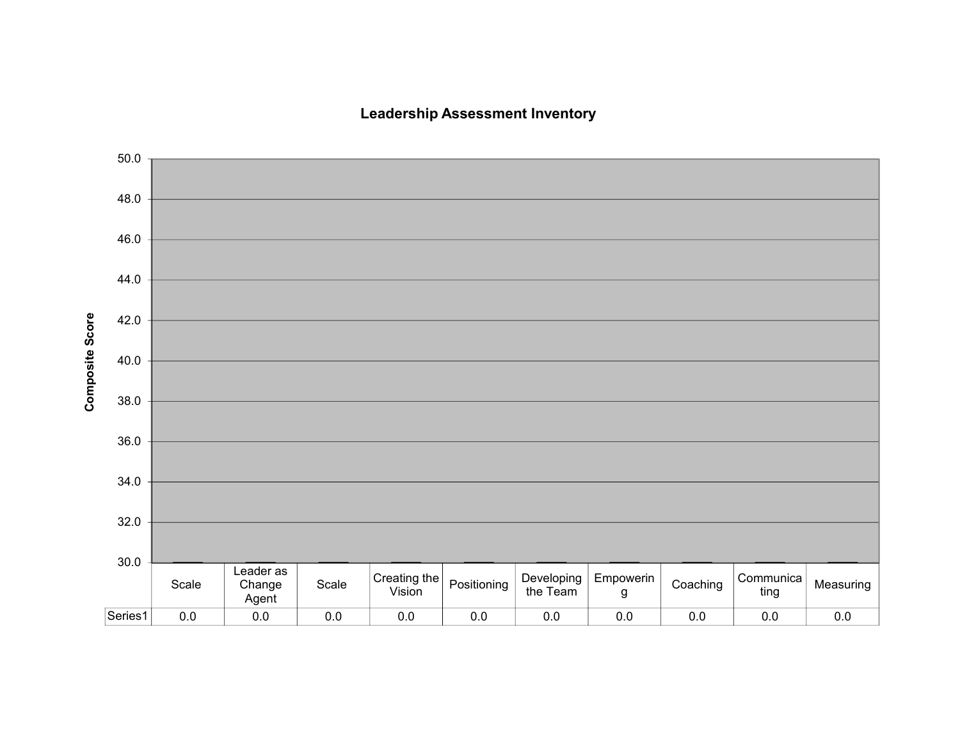### **Leadership Assessment Inventory**

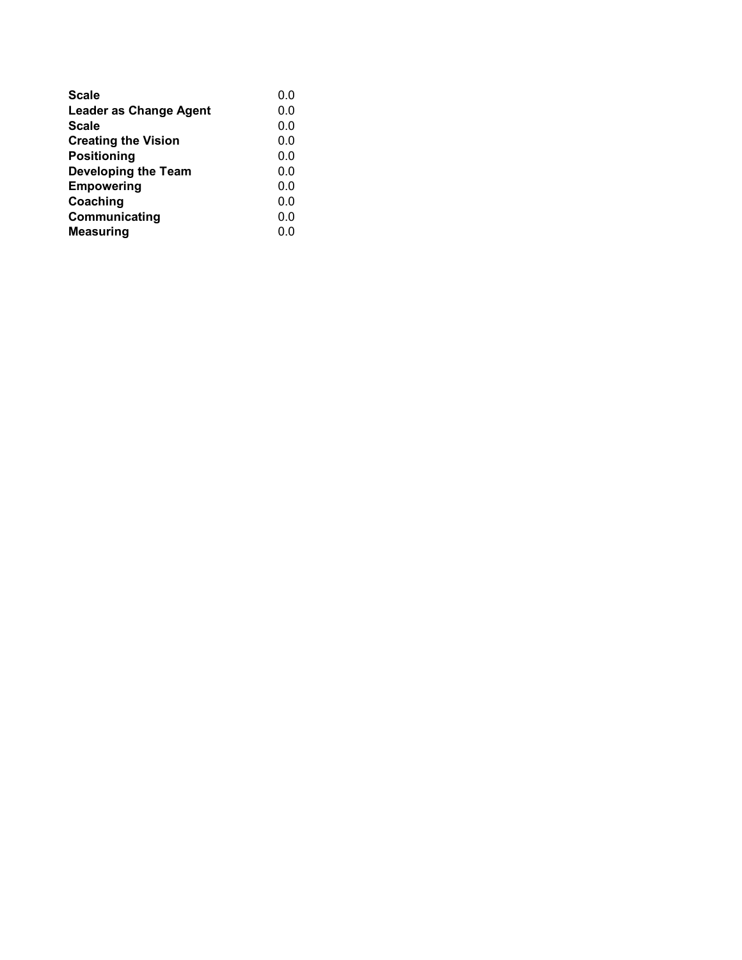| <b>Scale</b>                  | 0.0 |
|-------------------------------|-----|
| <b>Leader as Change Agent</b> | 0.0 |
| <b>Scale</b>                  | 0.0 |
| <b>Creating the Vision</b>    | 0.0 |
| <b>Positioning</b>            | 0.0 |
| <b>Developing the Team</b>    | 0.0 |
| <b>Empowering</b>             | 0.0 |
| Coaching                      | 0.0 |
| Communicating                 | 0.0 |
| <b>Measuring</b>              | 0.0 |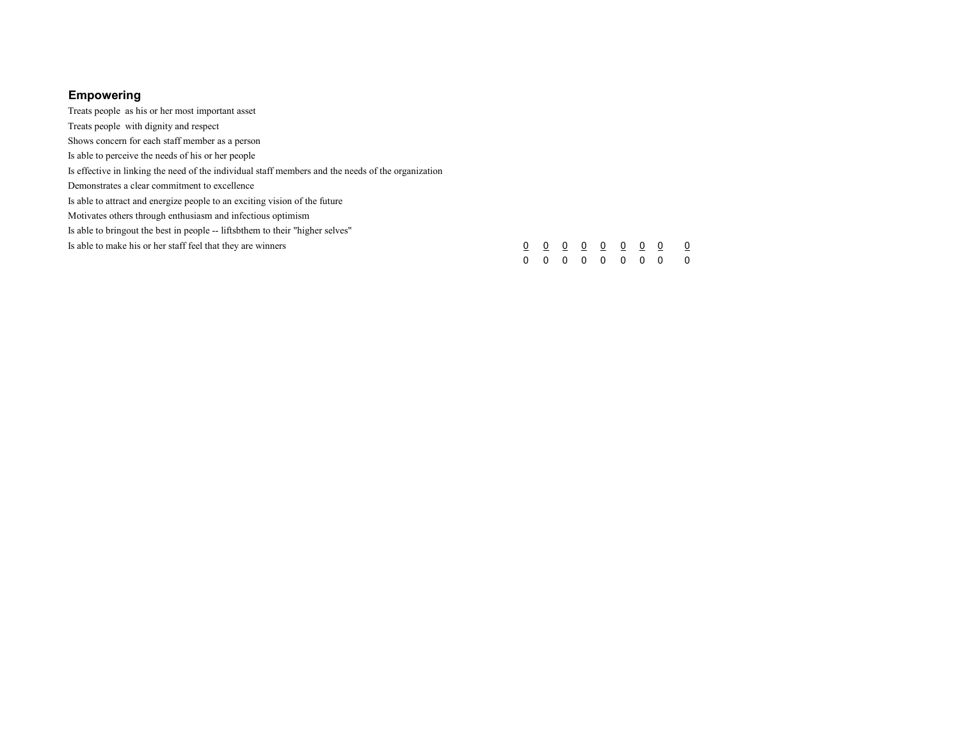### **Empowering**

Treats people as his or her most important asset Treats people with dignity and respect Shows concern for each staff member as a person Is able to perceive the needs of his or her people Is effective in linking the need of the individual staff members and the needs of the organization Demonstrates a clear commitment to excellence Is able to attract and energize people to an exciting vision of the future Motivates others through enthusiasm and infectious optimism Is able to bringout the best in people -- liftsbthem to their "higher selves" Is able to make his or her staff feel that they are winners  $\frac{0}{0}$   $\frac{0}{0}$   $\frac{0}{0}$   $\frac{0}{0}$   $\frac{0}{0}$   $\frac{0}{0}$   $\frac{0}{0}$   $\frac{0}{0}$   $\frac{0}{0}$ 0 0 0 0 0 0 0 0 0